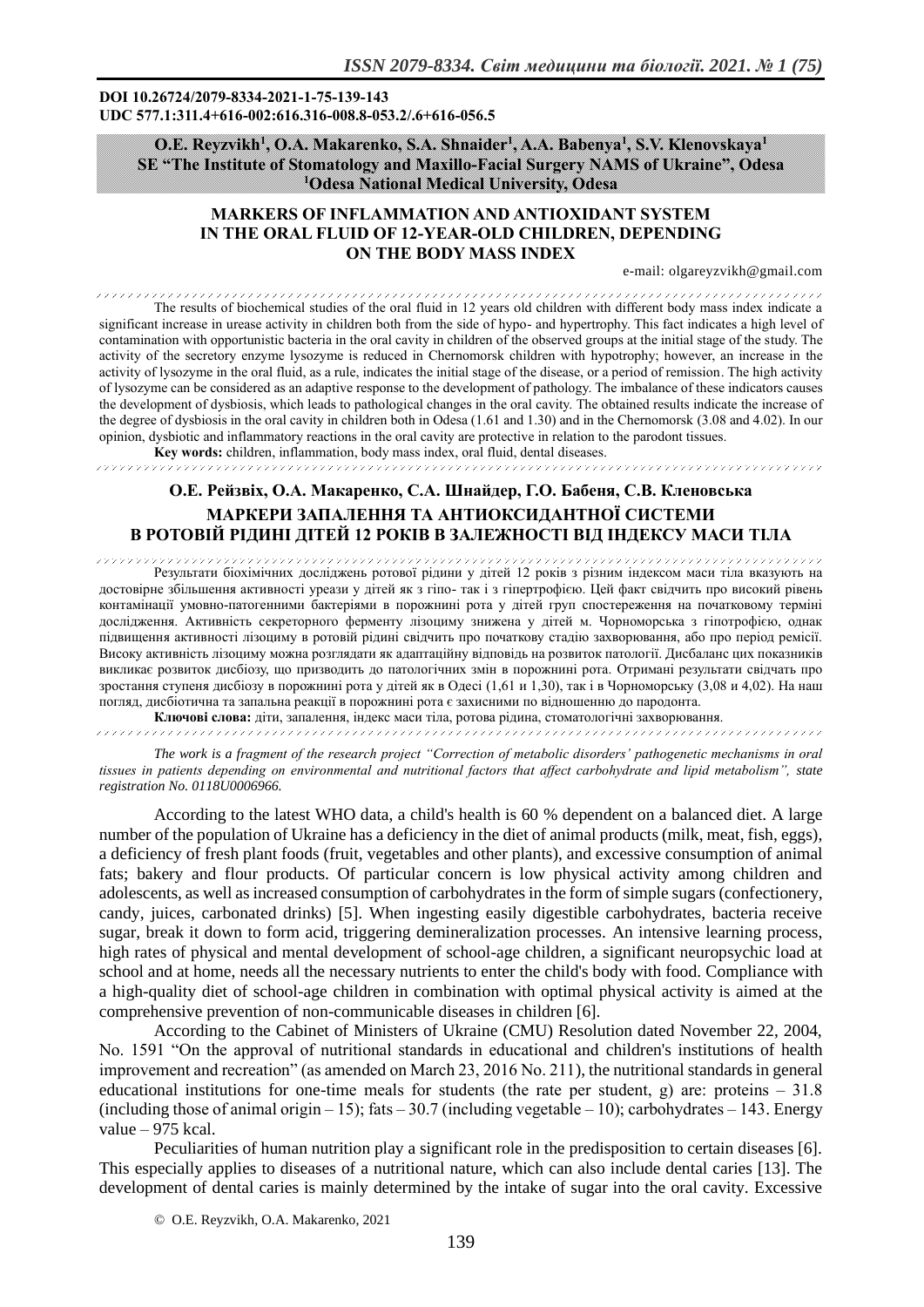#### **DOI 10.26724/2079-8334-2021-1-75-139-143 UDC 577.1:311.4+616-002:616.316-008.8-053.2/.6+616-056.5**

## **O.E. Reyzvikh<sup>1</sup> , O.A. Makarenko, S.A. Shnaіder<sup>1</sup> , A.A. Babenya<sup>1</sup> , S.V. Klenovskaya<sup>1</sup> SE "The Institute of Stomatology and Maxillo-Facial Surgery NAMS of Ukraine", Odesa <sup>1</sup>Odesa National Medical University, Odesa**

# **MARKERS OF INFLAMMATION AND ANTIOXIDANT SYSTEM IN THE ORAL FLUID OF 12-YEAR-OLD CHILDREN, DEPENDING ON THE BODY MASS INDEX**

e-mail: olgareyzvikh@gmail.com

.<br>The contract of the contract of the contract of the contract of the contract of the contract of the contract o .<br>Maria 1989 ya kuna katika katika katika katika katika katika katika katika katika katika katika katika katika The results of biochemical studies of the oral fluid in 12 years old children with different body mass index indicate a significant increase in urease activity in children both from the side of hypo- and hypertrophy. This fact indicates a high level of contamination with opportunistic bacteria in the oral cavity in children of the observed groups at the initial stage of the study. The activity of the secretory enzyme lysozyme is reduced in Chernomorsk children with hypotrophy; however, an increase in the activity of lysozyme in the oral fluid, as a rule, indicates the initial stage of the disease, or a period of remission. The high activity of lysozyme can be considered as an adaptive response to the development of pathology. The imbalance of these indicators causes the development of dysbiosis, which leads to pathological changes in the oral cavity. The obtained results indicate the increase of the degree of dysbiosis in the oral cavity in children both in Odesa (1.61 and 1.30) and in the Chernomorsk (3.08 and 4.02). In our opinion, dysbiotic and inflammatory reactions in the oral cavity are protective in relation to the parodont tissues.

**Key words:** children, inflammation, body mass index, oral fluid, dental diseases.

# **О.Е. Рейзвіх, О.А. Макаренко, С.А. Шнайдер, Г.О. Бабеня, С.В. Кленовська МАРКЕРИ ЗАПАЛЕННЯ ТА АНТИОКСИДАНТНОЇ СИСТЕМИ В РОТОВІЙ РІДИНІ ДІТЕЙ 12 РОКІВ В ЗАЛЕЖНОСТІ ВІД ІНДЕКСУ МАСИ ТІЛА**

Результати біохімічних досліджень ротової рідини у дітей 12 років з різним індексом маси тіла вказують на достовірне збільшення активності уреази у дітей як з гіпо- так і з гіпертрофією. Цей факт свідчить про високий рівень контамінації умовно-патогенними бактеріями в порожнині рота у дітей груп спостереження на початковому терміні дослідження. Активність секреторного ферменту лізоциму знижена у дітей м. Чорноморська з гіпотрофією, однак підвищення активності лізоциму в ротовій рідині свідчить про початкову стадію захворювання, або про період ремісії. Високу активність лізоциму можна розглядати як адаптаційну відповідь на розвиток патології. Дисбаланс цих показників викликає розвиток дисбіозу, що призводить до патологічних змін в порожнині рота. Отримані результати свідчать про зростання ступеня дисбіозу в порожнині рота у дітей як в Одесі (1,61 и 1,30), так і в Чорноморську (3,08 и 4,02). На наш погляд, дисбіотична та запальна реакції в порожнині рота є захисними по відношенню до пародонта.

**Ключові слова:** діти, запалення, індекс маси тіла, ротова рідина, стоматологічні захворювання. 

*The work is a fragment of the research project "Correction of metabolic disorders' pathogenetic mechanisms in oral tissues in patients depending on environmental and nutritional factors that affect carbohydrate and lipid metabolism", state registration No. 0118U0006966.*

According to the latest WHO data, a child's health is 60 % dependent on a balanced diet. A large number of the population of Ukraine has a deficiency in the diet of animal products (milk, meat, fish, eggs), a deficiency of fresh plant foods (fruit, vegetables and other plants), and excessive consumption of animal fats; bakery and flour products. Of particular concern is low physical activity among children and adolescents, as well as increased consumption of carbohydrates in the form of simple sugars (confectionery, candy, juices, carbonated drinks) [5]. When ingesting easily digestible carbohydrates, bacteria receive sugar, break it down to form acid, triggering demineralization processes. An intensive learning process, high rates of physical and mental development of school-age children, a significant neuropsychic load at school and at home, needs all the necessary nutrients to enter the child's body with food. Compliance with a high-quality diet of school-age children in combination with optimal physical activity is aimed at the comprehensive prevention of non-communicable diseases in children [6].

According to the Cabinet of Ministers of Ukraine (CMU) Resolution dated November 22, 2004, No. 1591 "On the approval of nutritional standards in educational and children's institutions of health improvement and recreation" (as amended on March 23, 2016 No. 211), the nutritional standards in general educational institutions for one-time meals for students (the rate per student, g) are: proteins  $-31.8$ (including those of animal origin  $-15$ ); fats  $-30.7$  (including vegetable  $-10$ ); carbohydrates  $-143$ . Energy value  $-975$  kcal.

Peculiarities of human nutrition play a significant role in the predisposition to certain diseases [6]. This especially applies to diseases of a nutritional nature, which can also include dental caries [13]. The development of dental caries is mainly determined by the intake of sugar into the oral cavity. Excessive

© O.E. Reyzvikh, O.A. Makarenko, 2021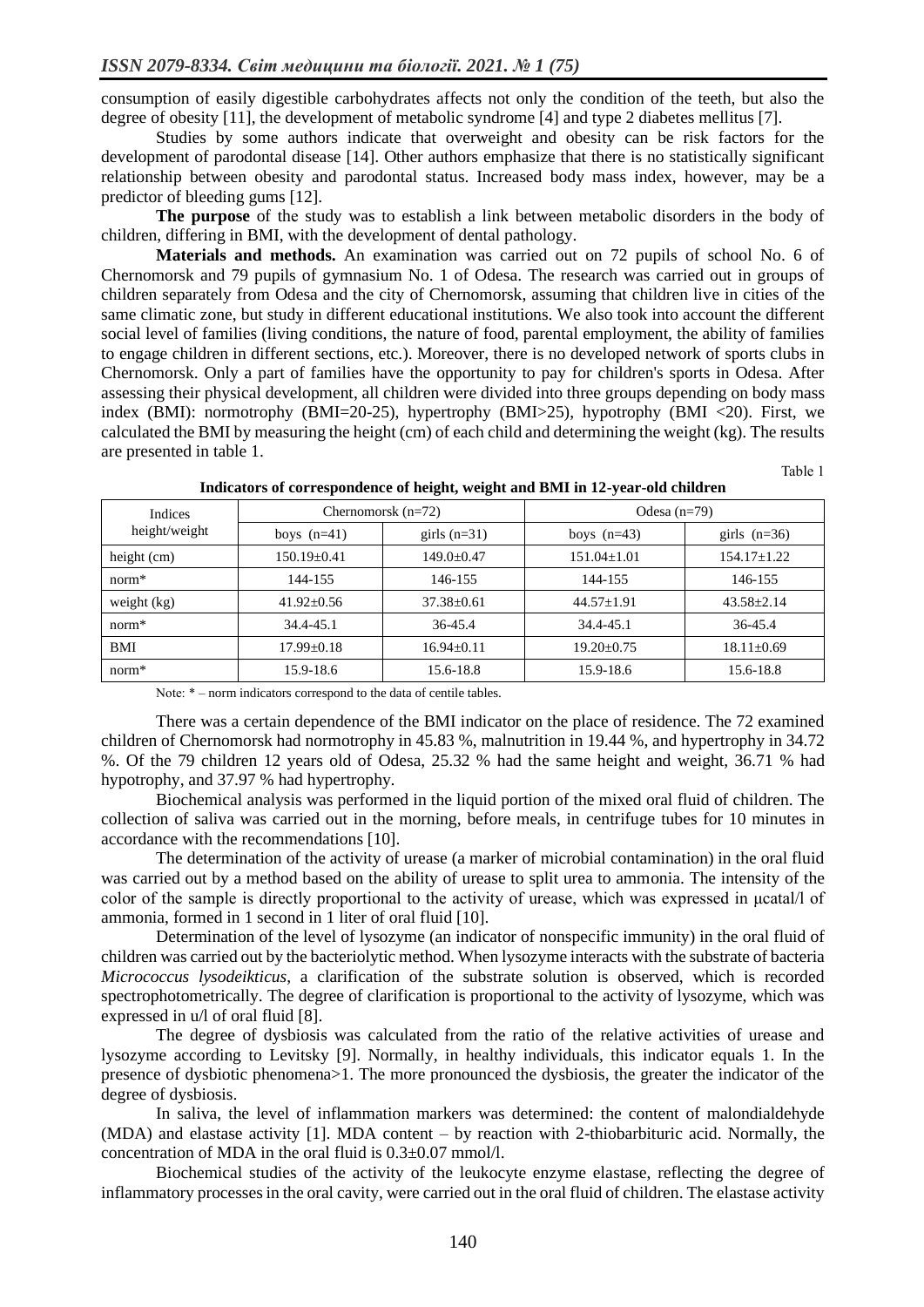consumption of easily digestible carbohydrates affects not only the condition of the teeth, but also the degree of obesity [11], the development of metabolic syndrome [4] and type 2 diabetes mellitus [7].

Studies by some authors indicate that overweight and obesity can be risk factors for the development of parodontal disease [14]. Other authors emphasize that there is no statistically significant relationship between obesity and parodontal status. Increased body mass index, however, may be a predictor of bleeding gums [12].

**The purpose** of thе study was to establish a link between metabolic disorders in the body of children, differing in BMI, with the development of dental pathology.

**Materials and methods.** An examination was carried out on 72 pupils of school No. 6 of Chernomorsk and 79 pupils of gymnasium No. 1 of Odesa. The research was carried out in groups of children separately from Odesa and the city of Chernomorsk, assuming that children live in cities of the same climatic zone, but study in different educational institutions. We also took into account the different social level of families (living conditions, the nature of food, parental employment, the ability of families to engage children in different sections, etc.). Moreover, there is no developed network of sports clubs in Chernomorsk. Only a part of families have the opportunity to pay for children's sports in Odesa. After assessing their physical development, all children were divided into three groups depending on body mass index (BMI): normotrophy (BMI=20-25), hypertrophy (BMI>25), hypotrophy (BMI <20). First, we calculated the BMI by measuring the height (cm) of each child and determining the weight (kg). The results are presented in table 1.

| Indices<br>height/weight | Chernomorsk $(n=72)$ |                  | Odesa $(n=79)$    |                  |
|--------------------------|----------------------|------------------|-------------------|------------------|
|                          | boys $(n=41)$        | girls $(n=31)$   | boys $(n=43)$     | girls $(n=36)$   |
| height (cm)              | $150.19 \pm 0.41$    | $149.0 \pm 0.47$ | $151.04 \pm 1.01$ | $154.17 + 1.22$  |
| $norm*$                  | 144-155              | 146-155          | 144-155           | 146-155          |
| weight (kg)              | $41.92 \pm 0.56$     | $37.38 \pm 0.61$ | $44.57 \pm 1.91$  | $43.58 \pm 2.14$ |
| $norm*$                  | 34.4-45.1            | $36 - 45.4$      | 34.4-45.1         | 36-45.4          |
| BMI                      | $17.99 \pm 0.18$     | $16.94 \pm 0.11$ | $19.20 \pm 0.75$  | $18.11 \pm 0.69$ |
| $norm*$                  | 15.9-18.6            | 15.6-18.8        | 15.9-18.6         | 15.6-18.8        |

**Indicators of correspondence of height, weight and BMI in 12-year-old children** 

Table 1

Note:  $*$  – norm indicators correspond to the data of centile tables.

There was a certain dependence of the BMI indicator on the place of residence. The 72 examined children of Chernomorsk had normotrophy in 45.83 %, malnutrition in 19.44 %, and hypertrophy in 34.72 %. Of the 79 children 12 years old of Odesa, 25.32 % had the same height and weight, 36.71 % had hypotrophy, and 37.97 % had hypertrophy.

Biochemical analysis was performed in the liquid portion of the mixed oral fluid of children. The collection of saliva was carried out in the morning, before meals, in centrifuge tubes for 10 minutes in accordance with the recommendations [10].

The determination of the activity of urease (a marker of microbial contamination) in the oral fluid was carried out by a method based on the ability of urease to split urea to ammonia. The intensity of the color of the sample is directly proportional to the activity of urease, which was expressed in μcatal/l of ammonia, formed in 1 second in 1 liter of oral fluid [10].

Determination of the level of lysozyme (an indicator of nonspecific immunity) in the oral fluid of children was carried out by the bacteriolytic method. When lysozyme interacts with the substrate of bacteria *Micrococcus lysodeikticus*, a clarification of the substrate solution is observed, which is recorded spectrophotometrically. The degree of clarification is proportional to the activity of lysozyme, which was expressed in u/l of oral fluid [8].

The degree of dysbiosis was calculated from the ratio of the relative activities of urease and lysozyme according to Levitsky [9]. Normally, in healthy individuals, this indicator equals 1. In the presence of dysbiotic phenomena>1. The more pronounced the dysbiosis, the greater the indicator of the degree of dysbiosis.

In saliva, the level of inflammation markers was determined: the content of malondialdehyde (MDA) and elastase activity [1]. MDA content – by reaction with 2-thiobarbituric acid. Normally, the concentration of MDA in the oral fluid is 0.3±0.07 mmol/l.

Biochemical studies of the activity of the leukocyte enzyme elastase, reflecting the degree of inflammatory processes in the oral cavity, were carried out in the oral fluid of children. The elastase activity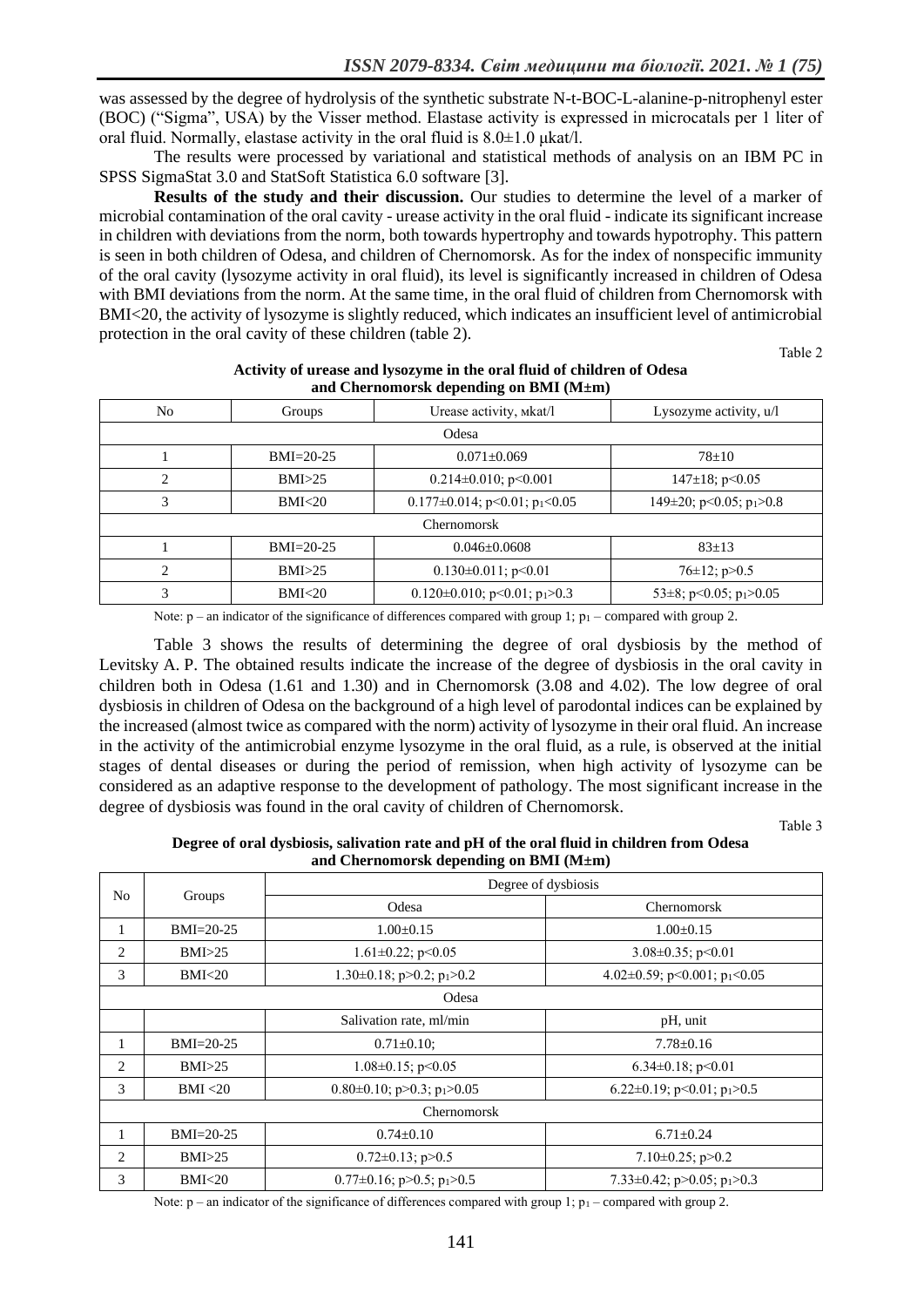was assessed by the degree of hydrolysis of the synthetic substrate N-t-BOC-L-alanine-p-nitrophenyl ester (BOC) ("Sigma", USA) by the Visser method. Elastase activity is expressed in microcatals per 1 liter of oral fluid. Normally, elastase activity in the oral fluid is  $8.0\pm1.0$  μkat/l.

The results were processed by variational and statistical methods of analysis on an IBM PC in SPSS SigmaStat 3.0 and StatSoft Statistica 6.0 software [3].

**Results of the study and their discussion.** Our studies to determine the level of a marker of microbial contamination of the oral cavity - urease activity in the oral fluid - indicate its significant increase in children with deviations from the norm, both towards hypertrophy and towards hypotrophy. This pattern is seen in both children of Odesa, and children of Chernomorsk. As for the index of nonspecific immunity of the oral cavity (lysozyme activity in oral fluid), its level is significantly increased in children of Odesa with BMI deviations from the norm. At the same time, in the oral fluid of children from Chernomorsk with BMI<20, the activity of lysozyme is slightly reduced, which indicates an insufficient level of antimicrobial protection in the oral cavity of these children (table 2).

Table 2

| $\cdots$ chemically repeating on Bill (112211) |               |                                                |                                          |  |  |
|------------------------------------------------|---------------|------------------------------------------------|------------------------------------------|--|--|
| No                                             | Groups        | Urease activity, Mkat/l                        | Lysozyme activity, $u/l$                 |  |  |
| Odesa                                          |               |                                                |                                          |  |  |
|                                                | $BMI = 20-25$ | $0.071 + 0.069$                                | $78 \pm 10$                              |  |  |
| 2                                              | BMI > 25      | $0.214 \pm 0.010$ ; p<0.001                    | $147\pm18$ ; p<0.05                      |  |  |
| 3                                              | BMI<20        | $0.177\pm0.014$ ; p<0.01; p <sub>1</sub> <0.05 | $149\pm20$ ; p<0.05; p <sub>1</sub> >0.8 |  |  |
| <b>Chernomorsk</b>                             |               |                                                |                                          |  |  |
|                                                | $BMI = 20-25$ | $0.046 \pm 0.0608$                             | $83 \pm 13$                              |  |  |
| 2                                              | BMI > 25      | $0.130 \pm 0.011$ ; p<0.01                     | $76\pm12$ ; p $>0.5$                     |  |  |
| 3                                              | BMI<20        | $0.120\pm0.010$ ; p<0.01; p <sub>1</sub> >0.3  | 53 $\pm$ 8; p<0.05; p <sub>1</sub> >0.05 |  |  |

#### **Activity of urease and lysozyme in the oral fluid of children of Odesa and Chernomorsk depending on BMI (M±m)**

Note:  $p - an indicator of the significance of differences compared with group 1;  $p_1 - compared with group 2$ .$ 

Table 3 shows the results of determining the degree of oral dysbiosis by the method of Levitsky A. P. The obtained results indicate the increase of the degree of dysbiosis in the oral cavity in children both in Odesa (1.61 and 1.30) and in Chernomorsk (3.08 and 4.02). The low degree of oral dysbiosis in children of Odesa on the background of a high level of parodontal indices can be explained by the increased (almost twice as compared with the norm) activity of lysozyme in their oral fluid. An increase in the activity of the antimicrobial enzyme lysozyme in the oral fluid, as a rule, is observed at the initial stages of dental diseases or during the period of remission, when high activity of lysozyme can be considered as an adaptive response to the development of pathology. The most significant increase in the degree of dysbiosis was found in the oral cavity of children of Chernomorsk.

Table 3

#### **Degree of oral dysbiosis, salivation rate and pH of the oral fluid in children from Odesa and Chernomorsk depending on BMI (M±m)**

| No                 | Groups        | Degree of dysbiosis                         |                                              |  |  |
|--------------------|---------------|---------------------------------------------|----------------------------------------------|--|--|
|                    |               | Odesa                                       | Chernomorsk                                  |  |  |
| 1                  | $BMI = 20-25$ | $1.00 \pm 0.15$                             | $1.00+0.15$                                  |  |  |
| $\overline{c}$     | BMI>25        | $1.61 \pm 0.22$ ; p<0.05                    | $3.08\pm0.35$ ; p<0.01                       |  |  |
| 3                  | BMI<20        | $1.30\pm0.18$ ; p>0.2; p <sub>1</sub> >0.2  | 4.02±0.59; p<0.001; p1<0.05                  |  |  |
| Odesa              |               |                                             |                                              |  |  |
|                    |               | Salivation rate, ml/min                     | pH, unit                                     |  |  |
| 1                  | $BMI = 20-25$ | $0.71 \pm 0.10$ ;                           | $7.78 \pm 0.16$                              |  |  |
| $\overline{c}$     | BMI > 25      | $1.08\pm0.15$ ; p<0.05                      | $6.34\pm0.18$ ; p<0.01                       |  |  |
| 3                  | BMI < 20      | $0.80\pm0.10$ ; p>0.3; p <sub>1</sub> >0.05 | 6.22 $\pm$ 0.19; p<0.01; p <sub>1</sub> >0.5 |  |  |
| <b>Chernomorsk</b> |               |                                             |                                              |  |  |
|                    | $BMI = 20-25$ | $0.74 \pm 0.10$                             | $6.71 \pm 0.24$                              |  |  |
| $\mathfrak{D}$     | BMI>25        | $0.72\pm0.13$ ; p $>0.5$                    | $7.10\pm0.25$ ; p>0.2                        |  |  |
| 3                  | BMI<20        | $0.77\pm0.16$ ; p>0.5; p <sub>1</sub> >0.5  | 7.33 $\pm$ 0.42; p>0.05; p <sub>1</sub> >0.3 |  |  |

Note:  $p - an indicator of the significance of differences compared with group 1;  $p_1$  – compared with group 2.$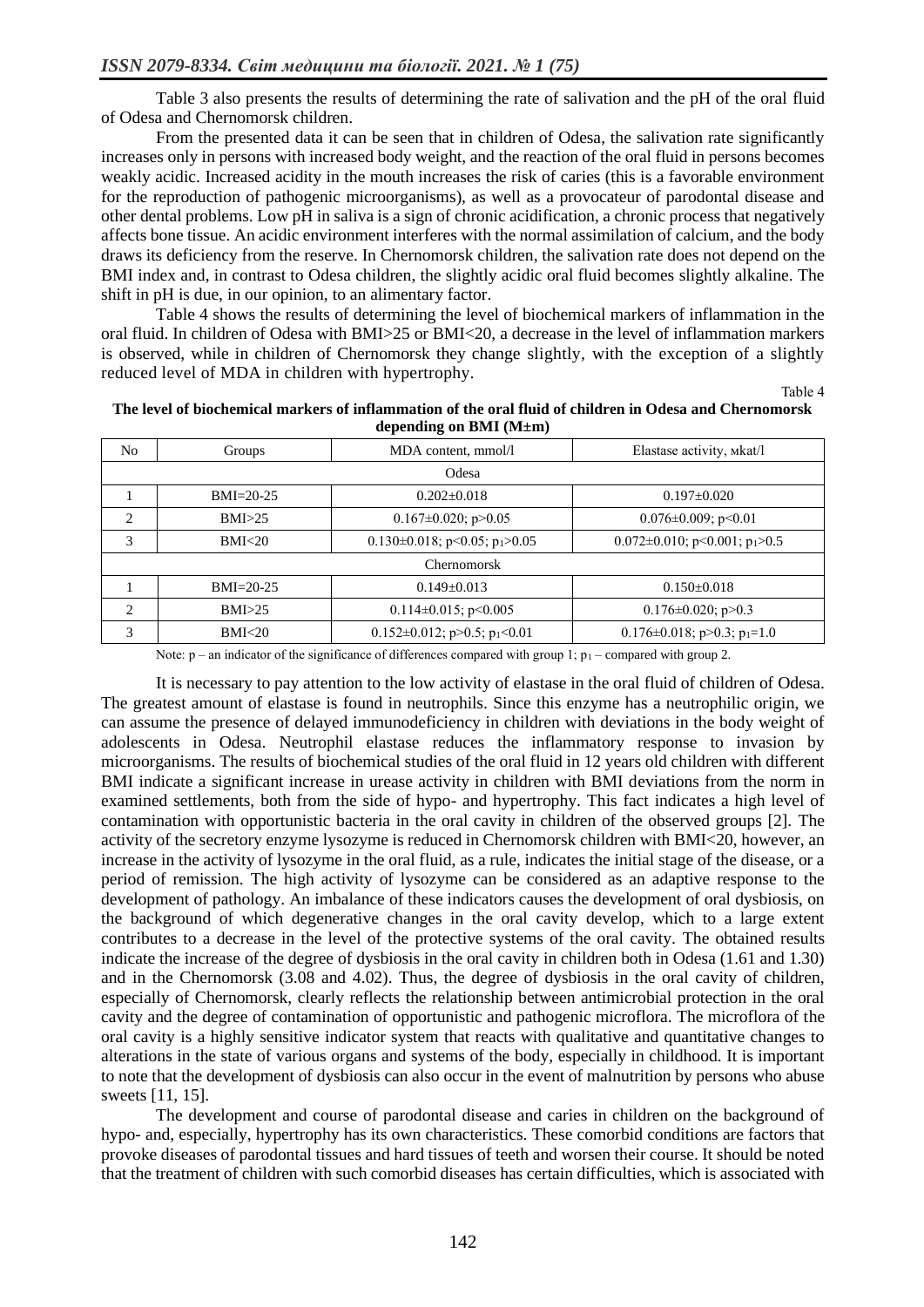Table 3 also presents the results of determining the rate of salivation and the pH of the oral fluid of Odesa and Chernomorsk children.

From the presented data it can be seen that in children of Odesa, the salivation rate significantly increases only in persons with increased body weight, and the reaction of the oral fluid in persons becomes weakly acidic. Increased acidity in the mouth increases the risk of caries (this is a favorable environment for the reproduction of pathogenic microorganisms), as well as a provocateur of parodontal disease and other dental problems. Low pH in saliva is a sign of chronic acidification, a chronic process that negatively affects bone tissue. An acidic environment interferes with the normal assimilation of calcium, and the body draws its deficiency from the reserve. In Chernomorsk children, the salivation rate does not depend on the BMI index and, in contrast to Odesa children, the slightly acidic oral fluid becomes slightly alkaline. The shift in pH is due, in our opinion, to an alimentary factor.

Table 4 shows the results of determining the level of biochemical markers of inflammation in the oral fluid. In children of Odesa with BMI>25 or BMI<20, a decrease in the level of inflammation markers is observed, while in children of Chernomorsk they change slightly, with the exception of a slightly reduced level of MDA in children with hypertrophy.

Table 4

| The level of biochemical markers of inflammation of the oral fluid of children in Odesa and Chernomorsk |
|---------------------------------------------------------------------------------------------------------|
| depending on BMI $(M \pm m)$                                                                            |

| No                 | Groups            | MDA content, mmol/l                             | Elastase activity, Mkat/l                        |  |  |
|--------------------|-------------------|-------------------------------------------------|--------------------------------------------------|--|--|
| Odesa              |                   |                                                 |                                                  |  |  |
|                    | $BMI = 20-25$     | $0.202 + 0.018$                                 | $0.197 + 0.020$                                  |  |  |
| $\overline{c}$     | BMI > 25          | $0.167 \pm 0.020$ ; p $> 0.05$                  | $0.076 \pm 0.009$ ; p<0.01                       |  |  |
| 3                  | BMI <sub>20</sub> | $0.130\pm0.018$ ; p<0.05; p <sub>1</sub> >0.05  | $0.072 \pm 0.010$ ; p<0.001; p <sub>1</sub> >0.5 |  |  |
| <b>Chernomorsk</b> |                   |                                                 |                                                  |  |  |
|                    | $BMI = 20-25$     | $0.149 \pm 0.013$                               | $0.150 \pm 0.018$                                |  |  |
| $\mathcal{L}$      | BMI>25            | $0.114\pm0.015$ ; p<0.005                       | $0.176 \pm 0.020$ ; p > 0.3                      |  |  |
| 3                  | BMI<20            | $0.152 \pm 0.012$ ; p>0.5; p <sub>1</sub> <0.01 | $0.176 \pm 0.018$ ; p>0.3; p <sub>1</sub> =1.0   |  |  |

Note:  $p - an indicator of the significance of differences compared with group 1;  $p_1$  – compared with group 2.$ 

It is necessary to pay attention to the low activity of elastase in the oral fluid of children of Odesa. The greatest amount of elastase is found in neutrophils. Since this enzyme has a neutrophilic origin, we can assume the presence of delayed immunodeficiency in children with deviations in the body weight of adolescents in Odesa. Neutrophil elastase reduces the inflammatory response to invasion by microorganisms. The results of biochemical studies of the oral fluid in 12 years old children with different BMI indicate a significant increase in urease activity in children with BMI deviations from the norm in examined settlements, both from the side of hypo- and hypertrophy. This fact indicates a high level of contamination with opportunistic bacteria in the oral cavity in children of the observed groups [2]. The activity of the secretory enzyme lysozyme is reduced in Chernomorsk children with BMI<20, however, an increase in the activity of lysozyme in the oral fluid, as a rule, indicates the initial stage of the disease, or a period of remission. The high activity of lysozyme can be considered as an adaptive response to the development of pathology. An imbalance of these indicators causes the development of oral dysbiosis, on the background of which degenerative changes in the oral cavity develop, which to a large extent contributes to a decrease in the level of the protective systems of the oral cavity. The obtained results indicate the increase of the degree of dysbiosis in the oral cavity in children both in Odesa (1.61 and 1.30) and in the Chernomorsk (3.08 and 4.02). Thus, the degree of dysbiosis in the oral cavity of children, especially of Chernomorsk, clearly reflects the relationship between antimicrobial protection in the oral cavity and the degree of contamination of opportunistic and pathogenic microflora. The microflora of the oral cavity is a highly sensitive indicator system that reacts with qualitative and quantitative changes to alterations in the state of various organs and systems of the body, especially in childhood. It is important to note that the development of dysbiosis can also occur in the event of malnutrition by persons who abuse sweets [11, 15].

The development and course of parodontal disease and caries in children on the background of hypo- and, especially, hypertrophy has its own characteristics. These comorbid conditions are factors that provoke diseases of parodontal tissues and hard tissues of teeth and worsen their course. It should be noted that the treatment of children with such comorbid diseases has certain difficulties, which is associated with